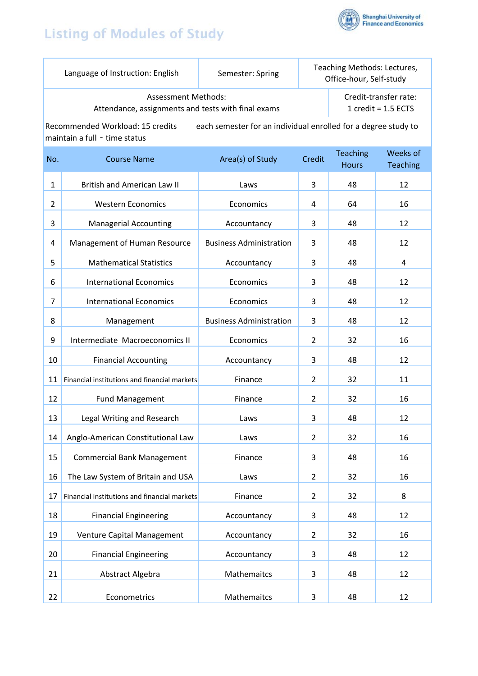## **Listing of Modules of Study**



|                                                                                                                                     | Language of Instruction: English                                                 | Semester: Spring               | Teaching Methods: Lectures,<br>Office-hour, Self-study |                                                       |                             |  |  |
|-------------------------------------------------------------------------------------------------------------------------------------|----------------------------------------------------------------------------------|--------------------------------|--------------------------------------------------------|-------------------------------------------------------|-----------------------------|--|--|
|                                                                                                                                     | <b>Assessment Methods:</b><br>Attendance, assignments and tests with final exams |                                |                                                        | Credit-transfer rate:<br>1 $\text{credit} = 1.5$ ECTS |                             |  |  |
| Recommended Workload: 15 credits<br>each semester for an individual enrolled for a degree study to<br>maintain a full - time status |                                                                                  |                                |                                                        |                                                       |                             |  |  |
| No.                                                                                                                                 | <b>Course Name</b>                                                               | Area(s) of Study               | Credit                                                 | <b>Teaching</b><br><b>Hours</b>                       | Weeks of<br><b>Teaching</b> |  |  |
| $\mathbf{1}$                                                                                                                        | <b>British and American Law II</b>                                               | Laws                           | 3                                                      | 48                                                    | 12                          |  |  |
| $\overline{2}$                                                                                                                      | <b>Western Economics</b>                                                         | Economics                      | 4                                                      | 64                                                    | 16                          |  |  |
| 3                                                                                                                                   | <b>Managerial Accounting</b>                                                     | Accountancy                    | 3                                                      | 48                                                    | 12                          |  |  |
| 4                                                                                                                                   | Management of Human Resource                                                     | <b>Business Administration</b> | 3                                                      | 48                                                    | 12                          |  |  |
| 5                                                                                                                                   | <b>Mathematical Statistics</b>                                                   | Accountancy                    | 3                                                      | 48                                                    | 4                           |  |  |
| 6                                                                                                                                   | <b>International Economics</b>                                                   | Economics                      | 3                                                      | 48                                                    | 12                          |  |  |
| 7                                                                                                                                   | <b>International Economics</b>                                                   | Economics                      | 3                                                      | 48                                                    | 12                          |  |  |
| 8                                                                                                                                   | Management                                                                       | <b>Business Administration</b> | 3                                                      | 48                                                    | 12                          |  |  |
| 9                                                                                                                                   | Intermediate Macroeconomics II                                                   | Economics                      | 2                                                      | 32                                                    | 16                          |  |  |
| 10                                                                                                                                  | <b>Financial Accounting</b>                                                      | Accountancy                    | 3                                                      | 48                                                    | 12                          |  |  |
| 11                                                                                                                                  | Financial institutions and financial markets                                     | Finance                        | 2                                                      | 32                                                    | 11                          |  |  |
| 12                                                                                                                                  | <b>Fund Management</b>                                                           | Finance                        | 2                                                      | 32                                                    | 16                          |  |  |
| 13                                                                                                                                  | Legal Writing and Research                                                       | Laws                           | 3                                                      | 48                                                    | 12                          |  |  |
| 14                                                                                                                                  | Anglo-American Constitutional Law                                                | Laws                           | $\overline{2}$                                         | 32                                                    | 16                          |  |  |
| 15                                                                                                                                  | <b>Commercial Bank Management</b>                                                | Finance                        | 3                                                      | 48                                                    | 16                          |  |  |
| 16                                                                                                                                  | The Law System of Britain and USA                                                | Laws                           | $\overline{2}$                                         | 32                                                    | 16                          |  |  |
| 17                                                                                                                                  | Financial institutions and financial markets                                     | Finance                        | $\overline{2}$                                         | 32                                                    | 8                           |  |  |
| 18                                                                                                                                  | <b>Financial Engineering</b>                                                     | Accountancy                    | 3                                                      | 48                                                    | 12                          |  |  |
| 19                                                                                                                                  | Venture Capital Management                                                       | Accountancy                    | $\overline{2}$                                         | 32                                                    | 16                          |  |  |
| 20                                                                                                                                  | <b>Financial Engineering</b>                                                     | Accountancy                    | 3                                                      | 48                                                    | 12                          |  |  |
| 21                                                                                                                                  | Abstract Algebra                                                                 | Mathemaitcs                    | 3                                                      | 48                                                    | 12                          |  |  |
| 22                                                                                                                                  | Econometrics                                                                     | Mathemaitcs                    | 3                                                      | 48                                                    | 12                          |  |  |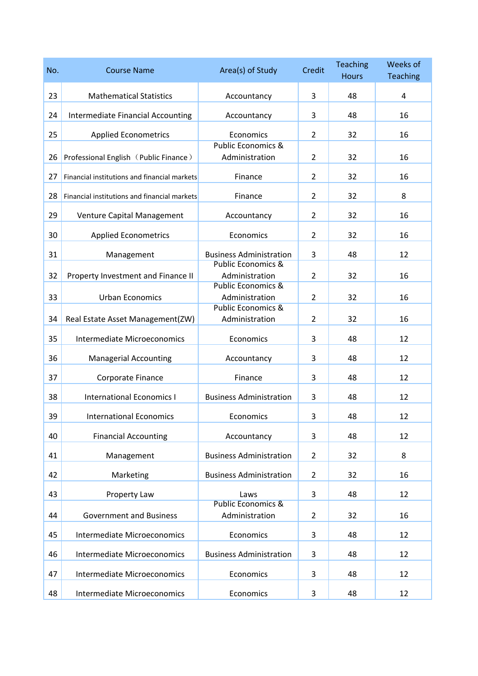| No. | <b>Course Name</b>                                              | Area(s) of Study                                | Credit         | <b>Teaching</b><br><b>Hours</b> | Weeks of<br><b>Teaching</b> |
|-----|-----------------------------------------------------------------|-------------------------------------------------|----------------|---------------------------------|-----------------------------|
| 23  | <b>Mathematical Statistics</b>                                  | Accountancy                                     | 3              | 48                              | 4                           |
| 24  | Intermediate Financial Accounting                               | Accountancy                                     | 3              | 48                              | 16                          |
| 25  | <b>Applied Econometrics</b>                                     | Economics                                       | $\overline{2}$ | 32                              | 16                          |
| 26  | Professional English (Public Finance)                           | <b>Public Economics &amp;</b><br>Administration | $\overline{2}$ | 32                              | 16                          |
| 27  | Financial institutions and financial markets                    | Finance                                         | $\overline{2}$ | 32                              | 16                          |
| 28  | Financial institutions and financial markets                    | Finance                                         | $\overline{2}$ | 32                              | 8                           |
| 29  | Venture Capital Management                                      | Accountancy                                     | $\overline{2}$ | 32                              | 16                          |
| 30  | <b>Applied Econometrics</b>                                     | Economics                                       | $\overline{2}$ | 32                              | 16                          |
| 31  | Management                                                      | <b>Business Administration</b>                  | 3              | 48                              | 12                          |
| 32  | Property Investment and Finance II                              | <b>Public Economics &amp;</b><br>Administration | $\overline{2}$ | 32                              | 16                          |
| 33  | <b>Urban Economics</b>                                          | <b>Public Economics &amp;</b><br>Administration | $\overline{2}$ | 32                              | 16                          |
| 34  |                                                                 | <b>Public Economics &amp;</b><br>Administration | $\overline{2}$ | 32                              | 16                          |
| 35  | Real Estate Asset Management(ZW)<br>Intermediate Microeconomics | Economics                                       | 3              | 48                              | 12                          |
|     |                                                                 |                                                 |                |                                 | 12                          |
| 36  | <b>Managerial Accounting</b>                                    | Accountancy                                     | 3              | 48                              | 12                          |
| 37  | Corporate Finance                                               | Finance                                         | 3              | 48                              |                             |
| 38  | <b>International Economics I</b>                                | <b>Business Administration</b>                  | 3              | 48                              | 12                          |
| 39  | <b>International Economics</b>                                  | Economics                                       | 3              | 48                              | 12                          |
| 40  | <b>Financial Accounting</b>                                     | Accountancy                                     | 3              | 48                              | 12                          |
| 41  | Management                                                      | <b>Business Administration</b>                  | $\overline{2}$ | 32                              | 8                           |
| 42  | Marketing                                                       | <b>Business Administration</b>                  | $\overline{2}$ | 32                              | 16                          |
| 43  | Property Law                                                    | Laws<br><b>Public Economics &amp;</b>           | 3              | 48                              | 12                          |
| 44  | <b>Government and Business</b>                                  | Administration                                  | $\overline{2}$ | 32                              | 16                          |
| 45  | Intermediate Microeconomics                                     | Economics                                       | 3              | 48                              | 12                          |
| 46  | Intermediate Microeconomics                                     | <b>Business Administration</b>                  | 3              | 48                              | 12                          |
| 47  | Intermediate Microeconomics                                     | Economics                                       | 3              | 48                              | 12                          |
| 48  | Intermediate Microeconomics                                     | Economics                                       | 3              | 48                              | 12                          |